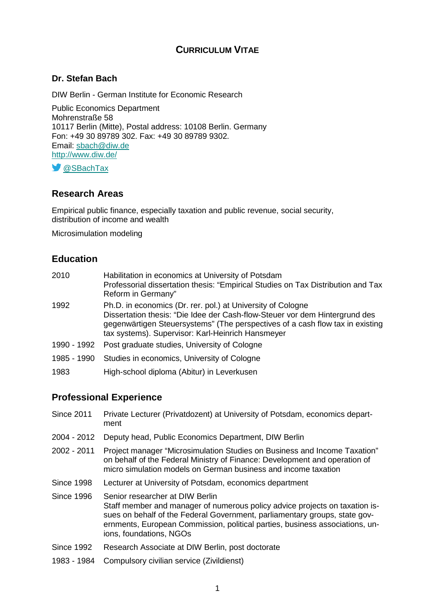# **CURRICULUM VITAE**

### **Dr. Stefan Bach**

DIW Berlin - German Institute for Economic Research

Public Economics Department Mohrenstraße 58 10117 Berlin (Mitte), Postal address: 10108 Berlin. Germany Fon: +49 30 89789 302. Fax: +49 30 89789 9302. Email: [sbach@diw.de](mailto:sbach@diw.de) <http://www.diw.de/>

**S** [@SBachTax](https://twitter.com/SBachTax)

#### **Research Areas**

Empirical public finance, especially taxation and public revenue, social security, distribution of income and wealth

Microsimulation modeling

#### **Education**

| 2010        | Habilitation in economics at University of Potsdam<br>Professorial dissertation thesis: "Empirical Studies on Tax Distribution and Tax<br>Reform in Germany"                                                                                                                     |
|-------------|----------------------------------------------------------------------------------------------------------------------------------------------------------------------------------------------------------------------------------------------------------------------------------|
| 1992        | Ph.D. in economics (Dr. rer. pol.) at University of Cologne<br>Dissertation thesis: "Die Idee der Cash-flow-Steuer vor dem Hintergrund des<br>gegenwärtigen Steuersystems" (The perspectives of a cash flow tax in existing<br>tax systems). Supervisor: Karl-Heinrich Hansmeyer |
| 1990 - 1992 | Post graduate studies, University of Cologne                                                                                                                                                                                                                                     |
| 1985 - 1990 | Studies in economics, University of Cologne                                                                                                                                                                                                                                      |
| 1983        | High-school diploma (Abitur) in Leverkusen                                                                                                                                                                                                                                       |

### **Professional Experience**

- Since 2011 Private Lecturer (Privatdozent) at University of Potsdam, economics department
- 2004 2012 Deputy head, Public Economics Department, DIW Berlin
- 2002 2011 Project manager "Microsimulation Studies on Business and Income Taxation" on behalf of the Federal Ministry of Finance: Development and operation of micro simulation models on German business and income taxation
- Since 1998 Lecturer at University of Potsdam, economics department
- Since 1996 Senior researcher at DIW Berlin Staff member and manager of numerous policy advice projects on taxation issues on behalf of the Federal Government, parliamentary groups, state governments, European Commission, political parties, business associations, unions, foundations, NGOs
- Since 1992 Research Associate at DIW Berlin, post doctorate
- 1983 1984 Compulsory civilian service (Zivildienst)